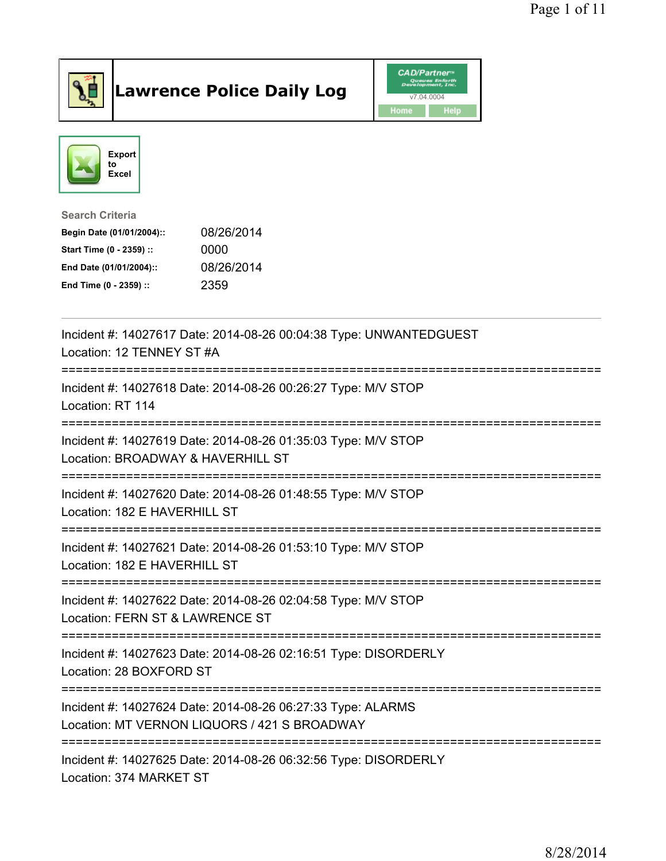

## Lawrence Police Daily Log Value of the CAD/Partner





Search Criteria

| Begin Date (01/01/2004):: | 08/26/2014 |
|---------------------------|------------|
| Start Time (0 - 2359) ::  | 0000       |
| End Date (01/01/2004)::   | 08/26/2014 |
| End Time (0 - 2359) ::    | 2359       |

| Incident #: 14027617 Date: 2014-08-26 00:04:38 Type: UNWANTEDGUEST<br>Location: 12 TENNEY ST #A                                 |
|---------------------------------------------------------------------------------------------------------------------------------|
| Incident #: 14027618 Date: 2014-08-26 00:26:27 Type: M/V STOP<br>Location: RT 114                                               |
| Incident #: 14027619 Date: 2014-08-26 01:35:03 Type: M/V STOP<br>Location: BROADWAY & HAVERHILL ST                              |
| Incident #: 14027620 Date: 2014-08-26 01:48:55 Type: M/V STOP<br>Location: 182 E HAVERHILL ST                                   |
| Incident #: 14027621 Date: 2014-08-26 01:53:10 Type: M/V STOP<br>Location: 182 E HAVERHILL ST                                   |
| Incident #: 14027622 Date: 2014-08-26 02:04:58 Type: M/V STOP<br>Location: FERN ST & LAWRENCE ST<br>=========================== |
| Incident #: 14027623 Date: 2014-08-26 02:16:51 Type: DISORDERLY<br>Location: 28 BOXFORD ST                                      |
| Incident #: 14027624 Date: 2014-08-26 06:27:33 Type: ALARMS<br>Location: MT VERNON LIQUORS / 421 S BROADWAY                     |
| Incident #: 14027625 Date: 2014-08-26 06:32:56 Type: DISORDERLY<br>Location: 374 MARKET ST                                      |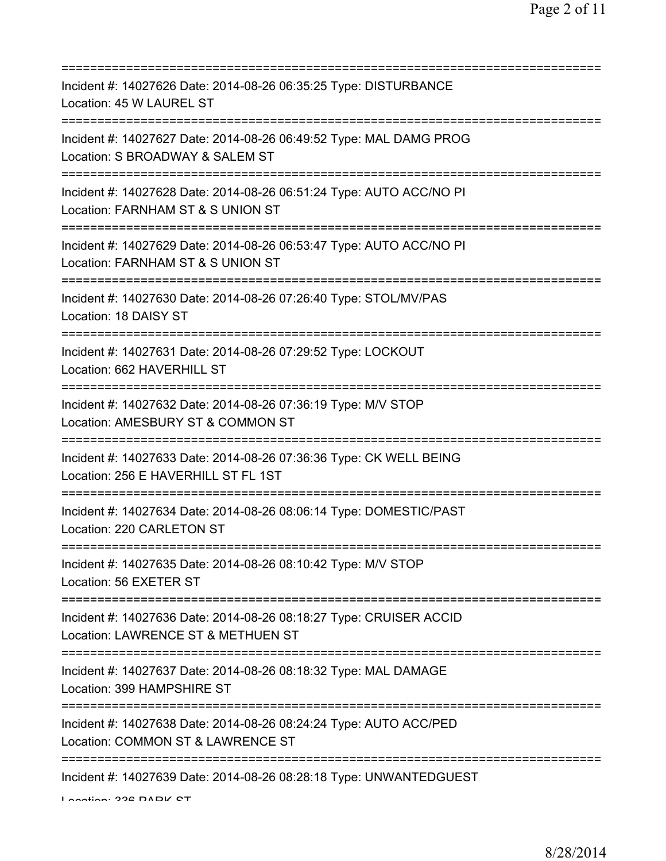| Incident #: 14027626 Date: 2014-08-26 06:35:25 Type: DISTURBANCE<br>Location: 45 W LAUREL ST                                             |
|------------------------------------------------------------------------------------------------------------------------------------------|
| Incident #: 14027627 Date: 2014-08-26 06:49:52 Type: MAL DAMG PROG<br>Location: S BROADWAY & SALEM ST                                    |
| Incident #: 14027628 Date: 2014-08-26 06:51:24 Type: AUTO ACC/NO PI<br>Location: FARNHAM ST & S UNION ST                                 |
| Incident #: 14027629 Date: 2014-08-26 06:53:47 Type: AUTO ACC/NO PI<br>Location: FARNHAM ST & S UNION ST<br>============================ |
| Incident #: 14027630 Date: 2014-08-26 07:26:40 Type: STOL/MV/PAS<br>Location: 18 DAISY ST                                                |
| Incident #: 14027631 Date: 2014-08-26 07:29:52 Type: LOCKOUT<br>Location: 662 HAVERHILL ST<br>=====================================      |
| Incident #: 14027632 Date: 2014-08-26 07:36:19 Type: M/V STOP<br>Location: AMESBURY ST & COMMON ST                                       |
| Incident #: 14027633 Date: 2014-08-26 07:36:36 Type: CK WELL BEING<br>Location: 256 E HAVERHILL ST FL 1ST                                |
| Incident #: 14027634 Date: 2014-08-26 08:06:14 Type: DOMESTIC/PAST<br>Location: 220 CARLETON ST                                          |
| Incident #: 14027635 Date: 2014-08-26 08:10:42 Type: M/V STOP<br>Location: 56 EXETER ST                                                  |
| Incident #: 14027636 Date: 2014-08-26 08:18:27 Type: CRUISER ACCID<br>Location: LAWRENCE ST & METHUEN ST                                 |
| Incident #: 14027637 Date: 2014-08-26 08:18:32 Type: MAL DAMAGE<br>Location: 399 HAMPSHIRE ST                                            |
| Incident #: 14027638 Date: 2014-08-26 08:24:24 Type: AUTO ACC/PED<br>Location: COMMON ST & LAWRENCE ST                                   |
| Incident #: 14027639 Date: 2014-08-26 08:28:18 Type: UNWANTEDGUEST                                                                       |

Location: 336 DADIX CT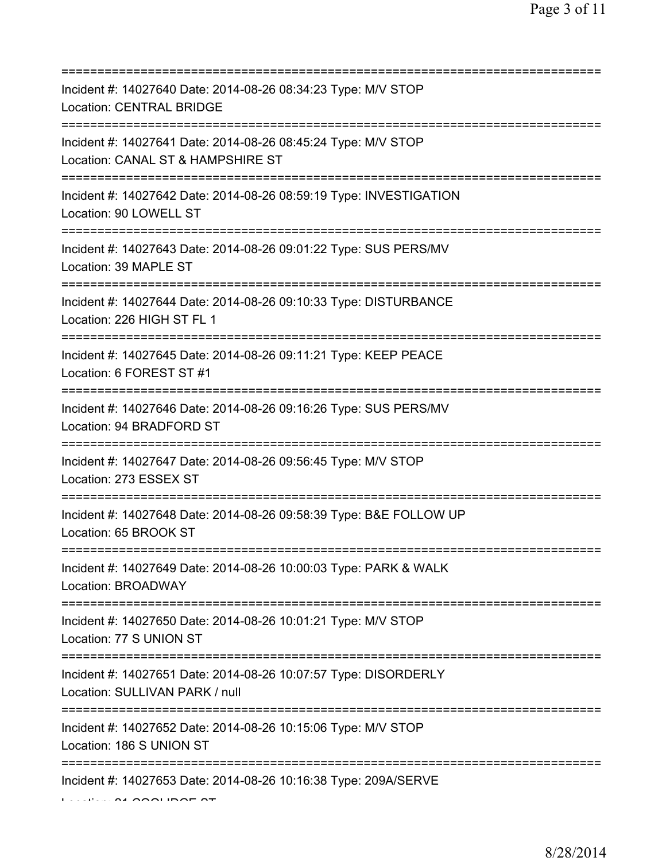| Incident #: 14027640 Date: 2014-08-26 08:34:23 Type: M/V STOP<br><b>Location: CENTRAL BRIDGE</b>                                   |
|------------------------------------------------------------------------------------------------------------------------------------|
| Incident #: 14027641 Date: 2014-08-26 08:45:24 Type: M/V STOP<br>Location: CANAL ST & HAMPSHIRE ST                                 |
| Incident #: 14027642 Date: 2014-08-26 08:59:19 Type: INVESTIGATION<br>Location: 90 LOWELL ST                                       |
| Incident #: 14027643 Date: 2014-08-26 09:01:22 Type: SUS PERS/MV<br>Location: 39 MAPLE ST<br>===================================== |
| Incident #: 14027644 Date: 2014-08-26 09:10:33 Type: DISTURBANCE<br>Location: 226 HIGH ST FL 1<br>===========================      |
| Incident #: 14027645 Date: 2014-08-26 09:11:21 Type: KEEP PEACE<br>Location: 6 FOREST ST #1                                        |
| Incident #: 14027646 Date: 2014-08-26 09:16:26 Type: SUS PERS/MV<br>Location: 94 BRADFORD ST                                       |
| Incident #: 14027647 Date: 2014-08-26 09:56:45 Type: M/V STOP<br>Location: 273 ESSEX ST                                            |
| Incident #: 14027648 Date: 2014-08-26 09:58:39 Type: B&E FOLLOW UP<br>Location: 65 BROOK ST                                        |
| Incident #: 14027649 Date: 2014-08-26 10:00:03 Type: PARK & WALK<br>Location: BROADWAY                                             |
| Incident #: 14027650 Date: 2014-08-26 10:01:21 Type: M/V STOP<br>Location: 77 S UNION ST                                           |
| Incident #: 14027651 Date: 2014-08-26 10:07:57 Type: DISORDERLY<br>Location: SULLIVAN PARK / null                                  |
| Incident #: 14027652 Date: 2014-08-26 10:15:06 Type: M/V STOP<br>Location: 186 S UNION ST                                          |
| Incident #: 14027653 Date: 2014-08-26 10:16:38 Type: 209A/SERVE                                                                    |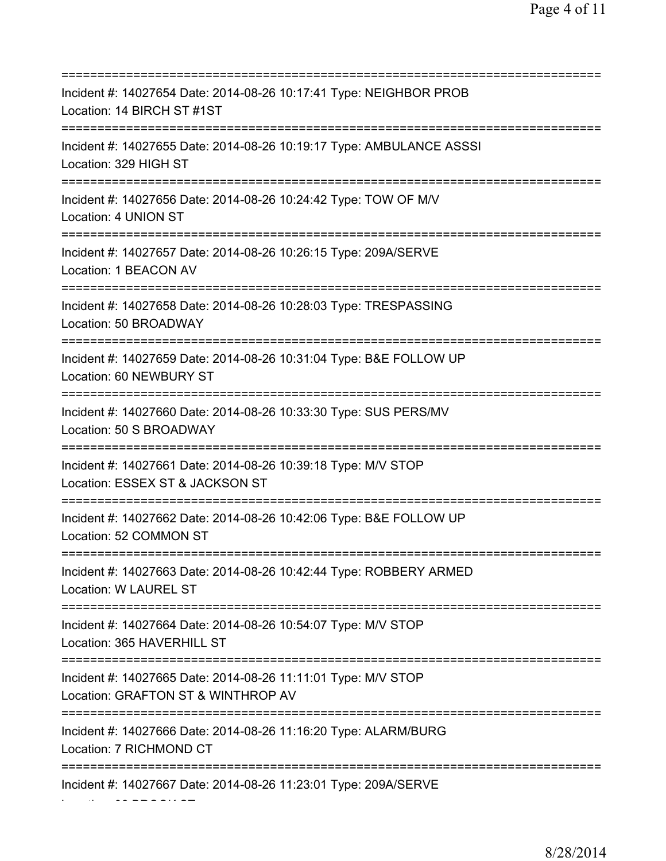=========================================================================== Incident #: 14027654 Date: 2014-08-26 10:17:41 Type: NEIGHBOR PROB Location: 14 BIRCH ST #1ST =========================================================================== Incident #: 14027655 Date: 2014-08-26 10:19:17 Type: AMBULANCE ASSSI Location: 329 HIGH ST =========================================================================== Incident #: 14027656 Date: 2014-08-26 10:24:42 Type: TOW OF M/V Location: 4 UNION ST =========================================================================== Incident #: 14027657 Date: 2014-08-26 10:26:15 Type: 209A/SERVE Location: 1 BEACON AV =========================================================================== Incident #: 14027658 Date: 2014-08-26 10:28:03 Type: TRESPASSING Location: 50 BROADWAY =========================================================================== Incident #: 14027659 Date: 2014-08-26 10:31:04 Type: B&E FOLLOW UP Location: 60 NEWBURY ST =========================================================================== Incident #: 14027660 Date: 2014-08-26 10:33:30 Type: SUS PERS/MV Location: 50 S BROADWAY =========================================================================== Incident #: 14027661 Date: 2014-08-26 10:39:18 Type: M/V STOP Location: ESSEX ST & JACKSON ST =========================================================================== Incident #: 14027662 Date: 2014-08-26 10:42:06 Type: B&E FOLLOW UP Location: 52 COMMON ST =========================================================================== Incident #: 14027663 Date: 2014-08-26 10:42:44 Type: ROBBERY ARMED Location: W LAUREL ST =========================================================================== Incident #: 14027664 Date: 2014-08-26 10:54:07 Type: M/V STOP Location: 365 HAVERHILL ST =========================================================================== Incident #: 14027665 Date: 2014-08-26 11:11:01 Type: M/V STOP Location: GRAFTON ST & WINTHROP AV =========================================================================== Incident #: 14027666 Date: 2014-08-26 11:16:20 Type: ALARM/BURG Location: 7 RICHMOND CT =========================================================================== Incident #: 14027667 Date: 2014-08-26 11:23:01 Type: 209A/SERVE

Location: 32 BROOK ST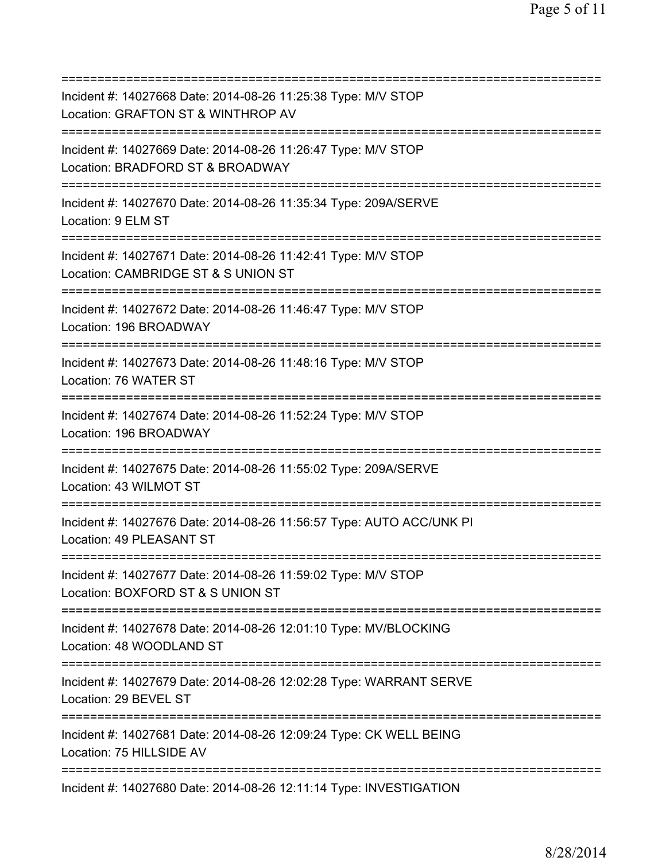| Incident #: 14027668 Date: 2014-08-26 11:25:38 Type: M/V STOP<br>Location: GRAFTON ST & WINTHROP AV<br>================================= |
|------------------------------------------------------------------------------------------------------------------------------------------|
| Incident #: 14027669 Date: 2014-08-26 11:26:47 Type: M/V STOP<br>Location: BRADFORD ST & BROADWAY                                        |
| Incident #: 14027670 Date: 2014-08-26 11:35:34 Type: 209A/SERVE<br>Location: 9 ELM ST<br>=====================================           |
| Incident #: 14027671 Date: 2014-08-26 11:42:41 Type: M/V STOP<br>Location: CAMBRIDGE ST & S UNION ST<br>==========================       |
| Incident #: 14027672 Date: 2014-08-26 11:46:47 Type: M/V STOP<br>Location: 196 BROADWAY                                                  |
| Incident #: 14027673 Date: 2014-08-26 11:48:16 Type: M/V STOP<br>Location: 76 WATER ST                                                   |
| Incident #: 14027674 Date: 2014-08-26 11:52:24 Type: M/V STOP<br>Location: 196 BROADWAY                                                  |
| Incident #: 14027675 Date: 2014-08-26 11:55:02 Type: 209A/SERVE<br>Location: 43 WILMOT ST                                                |
| Incident #: 14027676 Date: 2014-08-26 11:56:57 Type: AUTO ACC/UNK PI<br>Location: 49 PLEASANT ST                                         |
| Incident #: 14027677 Date: 2014-08-26 11:59:02 Type: M/V STOP<br>Location: BOXFORD ST & S UNION ST                                       |
| ================================<br>Incident #: 14027678 Date: 2014-08-26 12:01:10 Type: MV/BLOCKING<br>Location: 48 WOODLAND ST         |
| ======================================<br>Incident #: 14027679 Date: 2014-08-26 12:02:28 Type: WARRANT SERVE<br>Location: 29 BEVEL ST    |
| Incident #: 14027681 Date: 2014-08-26 12:09:24 Type: CK WELL BEING<br>Location: 75 HILLSIDE AV                                           |
| Incident #: 14027680 Date: 2014-08-26 12:11:14 Type: INVESTIGATION                                                                       |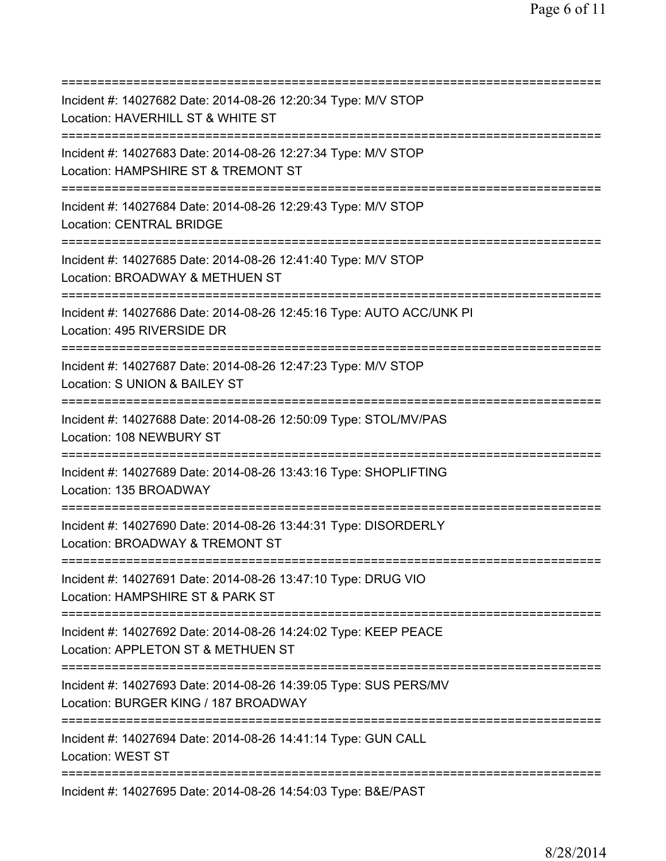| Incident #: 14027682 Date: 2014-08-26 12:20:34 Type: M/V STOP<br>Location: HAVERHILL ST & WHITE ST                                         |
|--------------------------------------------------------------------------------------------------------------------------------------------|
| ===========================<br>Incident #: 14027683 Date: 2014-08-26 12:27:34 Type: M/V STOP<br>Location: HAMPSHIRE ST & TREMONT ST        |
| Incident #: 14027684 Date: 2014-08-26 12:29:43 Type: M/V STOP<br>Location: CENTRAL BRIDGE                                                  |
| Incident #: 14027685 Date: 2014-08-26 12:41:40 Type: M/V STOP<br>Location: BROADWAY & METHUEN ST<br>=====================================  |
| Incident #: 14027686 Date: 2014-08-26 12:45:16 Type: AUTO ACC/UNK PI<br>Location: 495 RIVERSIDE DR<br>==================================== |
| Incident #: 14027687 Date: 2014-08-26 12:47:23 Type: M/V STOP<br>Location: S UNION & BAILEY ST<br>================                         |
| Incident #: 14027688 Date: 2014-08-26 12:50:09 Type: STOL/MV/PAS<br>Location: 108 NEWBURY ST                                               |
| Incident #: 14027689 Date: 2014-08-26 13:43:16 Type: SHOPLIFTING<br>Location: 135 BROADWAY                                                 |
| Incident #: 14027690 Date: 2014-08-26 13:44:31 Type: DISORDERLY<br>Location: BROADWAY & TREMONT ST                                         |
| Incident #: 14027691 Date: 2014-08-26 13:47:10 Type: DRUG VIO<br>Location: HAMPSHIRE ST & PARK ST                                          |
| Incident #: 14027692 Date: 2014-08-26 14:24:02 Type: KEEP PEACE<br>Location: APPLETON ST & METHUEN ST<br>================================= |
| Incident #: 14027693 Date: 2014-08-26 14:39:05 Type: SUS PERS/MV<br>Location: BURGER KING / 187 BROADWAY                                   |
| ===========================<br>Incident #: 14027694 Date: 2014-08-26 14:41:14 Type: GUN CALL<br>Location: WEST ST                          |
| Incident #: 14027695 Date: 2014-08-26 14:54:03 Type: B&E/PAST                                                                              |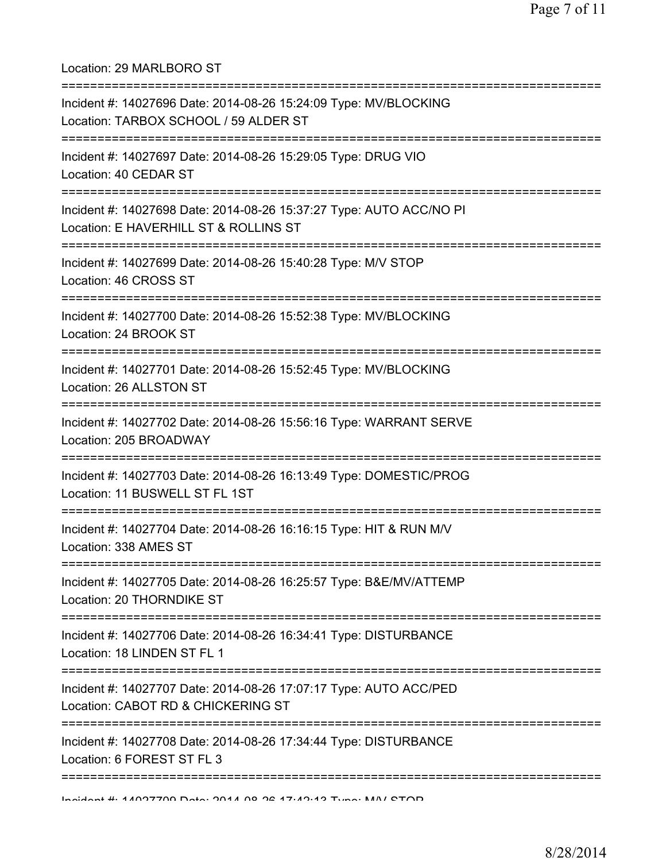Location: 29 MARLBORO ST =========================================================================== Incident #: 14027696 Date: 2014-08-26 15:24:09 Type: MV/BLOCKING Location: TARBOX SCHOOL / 59 ALDER ST =========================================================================== Incident #: 14027697 Date: 2014-08-26 15:29:05 Type: DRUG VIO Location: 40 CEDAR ST =========================================================================== Incident #: 14027698 Date: 2014-08-26 15:37:27 Type: AUTO ACC/NO PI Location: E HAVERHILL ST & ROLLINS ST =========================================================================== Incident #: 14027699 Date: 2014-08-26 15:40:28 Type: M/V STOP Location: 46 CROSS ST =========================================================================== Incident #: 14027700 Date: 2014-08-26 15:52:38 Type: MV/BLOCKING Location: 24 BROOK ST =========================================================================== Incident #: 14027701 Date: 2014-08-26 15:52:45 Type: MV/BLOCKING Location: 26 ALLSTON ST =========================================================================== Incident #: 14027702 Date: 2014-08-26 15:56:16 Type: WARRANT SERVE Location: 205 BROADWAY =========================================================================== Incident #: 14027703 Date: 2014-08-26 16:13:49 Type: DOMESTIC/PROG Location: 11 BUSWELL ST FL 1ST =========================================================================== Incident #: 14027704 Date: 2014-08-26 16:16:15 Type: HIT & RUN M/V Location: 338 AMES ST =========================================================================== Incident #: 14027705 Date: 2014-08-26 16:25:57 Type: B&E/MV/ATTEMP Location: 20 THORNDIKE ST =========================================================================== Incident #: 14027706 Date: 2014-08-26 16:34:41 Type: DISTURBANCE Location: 18 LINDEN ST FL 1 =========================================================================== Incident #: 14027707 Date: 2014-08-26 17:07:17 Type: AUTO ACC/PED Location: CABOT RD & CHICKERING ST =========================================================================== Incident #: 14027708 Date: 2014-08-26 17:34:44 Type: DISTURBANCE Location: 6 FOREST ST FL 3 =========================================================================== Incident #: 14027709 Date: 2014 08 26 17:42:13 Type: M/V STOP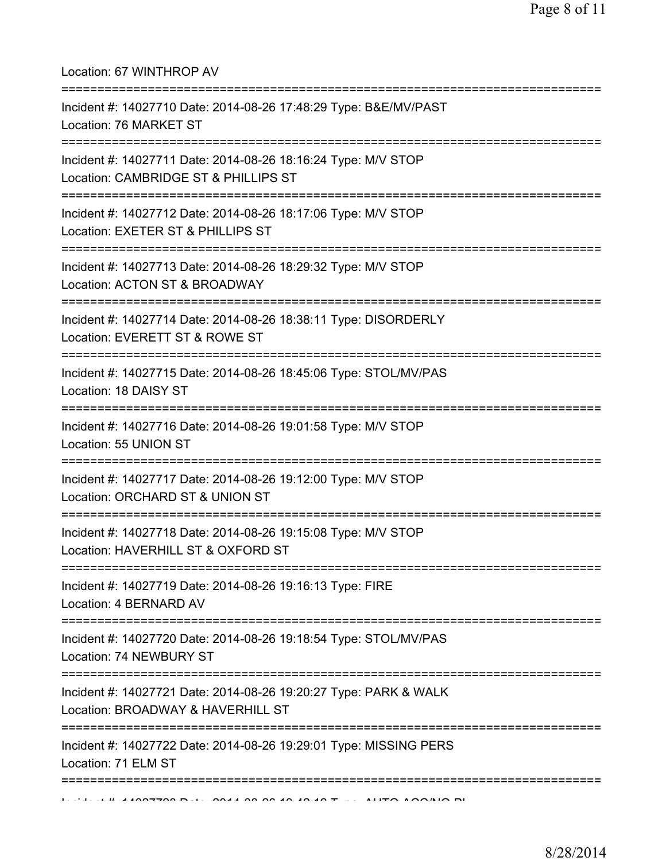| Location: 67 WINTHROP AV                                                                                                   |
|----------------------------------------------------------------------------------------------------------------------------|
| Incident #: 14027710 Date: 2014-08-26 17:48:29 Type: B&E/MV/PAST<br>Location: 76 MARKET ST                                 |
| Incident #: 14027711 Date: 2014-08-26 18:16:24 Type: M/V STOP<br>Location: CAMBRIDGE ST & PHILLIPS ST                      |
| Incident #: 14027712 Date: 2014-08-26 18:17:06 Type: M/V STOP<br>Location: EXETER ST & PHILLIPS ST                         |
| Incident #: 14027713 Date: 2014-08-26 18:29:32 Type: M/V STOP<br>Location: ACTON ST & BROADWAY                             |
| Incident #: 14027714 Date: 2014-08-26 18:38:11 Type: DISORDERLY<br>Location: EVERETT ST & ROWE ST                          |
| Incident #: 14027715 Date: 2014-08-26 18:45:06 Type: STOL/MV/PAS<br>Location: 18 DAISY ST                                  |
| Incident #: 14027716 Date: 2014-08-26 19:01:58 Type: M/V STOP<br>Location: 55 UNION ST<br>================================ |
| Incident #: 14027717 Date: 2014-08-26 19:12:00 Type: M/V STOP<br>Location: ORCHARD ST & UNION ST                           |
| Incident #: 14027718 Date: 2014-08-26 19:15:08 Type: M/V STOP<br>Location: HAVERHILL ST & OXFORD ST                        |
| Incident #: 14027719 Date: 2014-08-26 19:16:13 Type: FIRE<br>Location: 4 BERNARD AV                                        |
| Incident #: 14027720 Date: 2014-08-26 19:18:54 Type: STOL/MV/PAS<br>Location: 74 NEWBURY ST                                |
| Incident #: 14027721 Date: 2014-08-26 19:20:27 Type: PARK & WALK<br>Location: BROADWAY & HAVERHILL ST                      |
| Incident #: 14027722 Date: 2014-08-26 19:29:01 Type: MISSING PERS<br>Location: 71 ELM ST                                   |
|                                                                                                                            |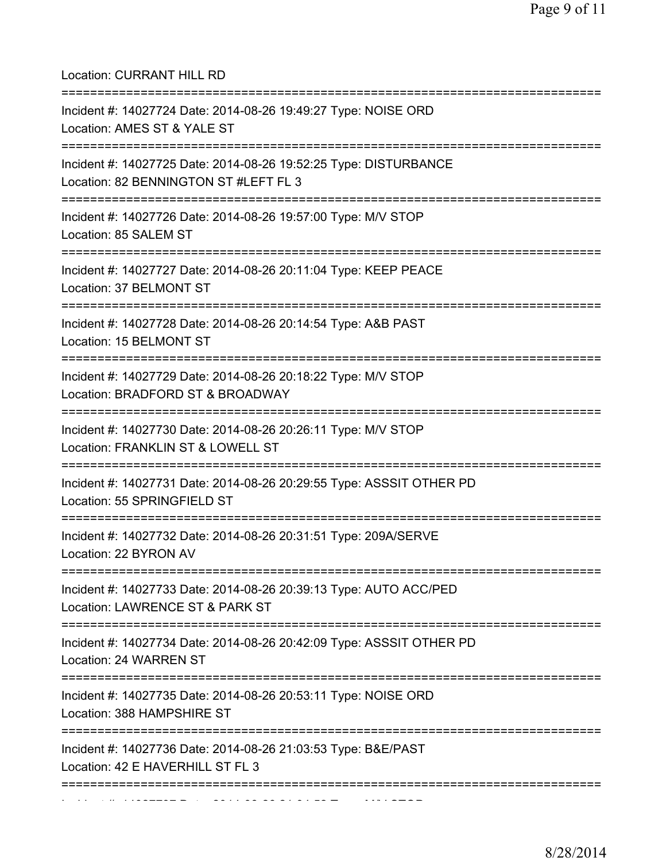| Location: CURRANT HILL RD                                                                                                            |
|--------------------------------------------------------------------------------------------------------------------------------------|
| Incident #: 14027724 Date: 2014-08-26 19:49:27 Type: NOISE ORD<br>Location: AMES ST & YALE ST                                        |
| Incident #: 14027725 Date: 2014-08-26 19:52:25 Type: DISTURBANCE<br>Location: 82 BENNINGTON ST #LEFT FL 3<br>:====================== |
| Incident #: 14027726 Date: 2014-08-26 19:57:00 Type: M/V STOP<br>Location: 85 SALEM ST                                               |
| Incident #: 14027727 Date: 2014-08-26 20:11:04 Type: KEEP PEACE<br>Location: 37 BELMONT ST<br>====================================   |
| Incident #: 14027728 Date: 2014-08-26 20:14:54 Type: A&B PAST<br>Location: 15 BELMONT ST                                             |
| Incident #: 14027729 Date: 2014-08-26 20:18:22 Type: M/V STOP<br>Location: BRADFORD ST & BROADWAY                                    |
| Incident #: 14027730 Date: 2014-08-26 20:26:11 Type: M/V STOP<br>Location: FRANKLIN ST & LOWELL ST                                   |
| Incident #: 14027731 Date: 2014-08-26 20:29:55 Type: ASSSIT OTHER PD<br>Location: 55 SPRINGFIELD ST                                  |
| Incident #: 14027732 Date: 2014-08-26 20:31:51 Type: 209A/SERVE<br>Location: 22 BYRON AV                                             |
| Incident #: 14027733 Date: 2014-08-26 20:39:13 Type: AUTO ACC/PED<br>Location: LAWRENCE ST & PARK ST                                 |
| Incident #: 14027734 Date: 2014-08-26 20:42:09 Type: ASSSIT OTHER PD<br>Location: 24 WARREN ST                                       |
| Incident #: 14027735 Date: 2014-08-26 20:53:11 Type: NOISE ORD<br>Location: 388 HAMPSHIRE ST                                         |
| Incident #: 14027736 Date: 2014-08-26 21:03:53 Type: B&E/PAST<br>Location: 42 E HAVERHILL ST FL 3                                    |
|                                                                                                                                      |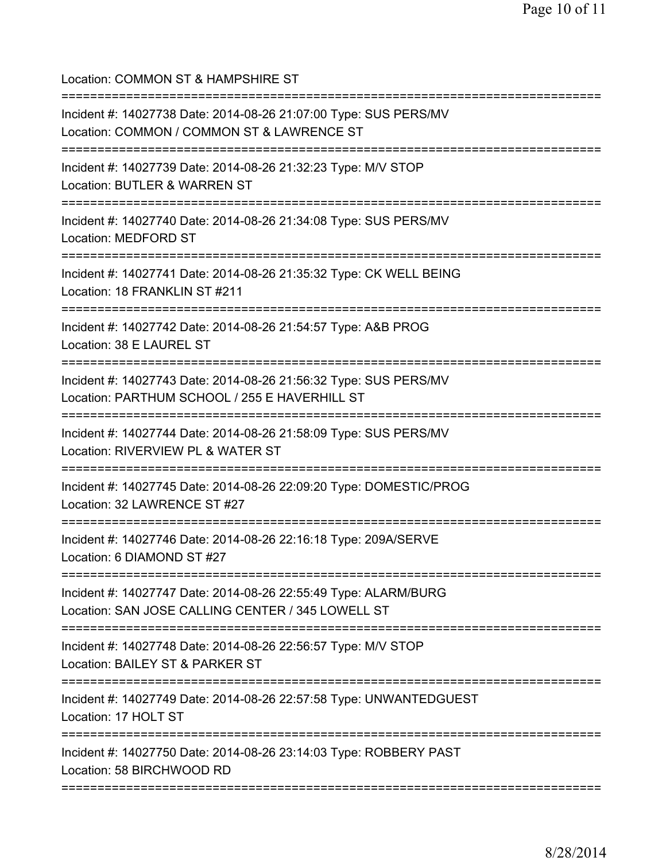Location: COMMON ST & HAMPSHIRE ST =========================================================================== Incident #: 14027738 Date: 2014-08-26 21:07:00 Type: SUS PERS/MV Location: COMMON / COMMON ST & LAWRENCE ST =========================================================================== Incident #: 14027739 Date: 2014-08-26 21:32:23 Type: M/V STOP Location: BUTLER & WARREN ST =========================================================================== Incident #: 14027740 Date: 2014-08-26 21:34:08 Type: SUS PERS/MV Location: MEDFORD ST =========================================================================== Incident #: 14027741 Date: 2014-08-26 21:35:32 Type: CK WELL BEING Location: 18 FRANKLIN ST #211 =========================================================================== Incident #: 14027742 Date: 2014-08-26 21:54:57 Type: A&B PROG Location: 38 E LAUREL ST =========================================================================== Incident #: 14027743 Date: 2014-08-26 21:56:32 Type: SUS PERS/MV Location: PARTHUM SCHOOL / 255 E HAVERHILL ST =========================================================================== Incident #: 14027744 Date: 2014-08-26 21:58:09 Type: SUS PERS/MV Location: RIVERVIEW PL & WATER ST =========================================================================== Incident #: 14027745 Date: 2014-08-26 22:09:20 Type: DOMESTIC/PROG Location: 32 LAWRENCE ST #27 =========================================================================== Incident #: 14027746 Date: 2014-08-26 22:16:18 Type: 209A/SERVE Location: 6 DIAMOND ST #27 =========================================================================== Incident #: 14027747 Date: 2014-08-26 22:55:49 Type: ALARM/BURG Location: SAN JOSE CALLING CENTER / 345 LOWELL ST =========================================================================== Incident #: 14027748 Date: 2014-08-26 22:56:57 Type: M/V STOP Location: BAILEY ST & PARKER ST =========================================================================== Incident #: 14027749 Date: 2014-08-26 22:57:58 Type: UNWANTEDGUEST Location: 17 HOLT ST =========================================================================== Incident #: 14027750 Date: 2014-08-26 23:14:03 Type: ROBBERY PAST Location: 58 BIRCHWOOD RD ===========================================================================